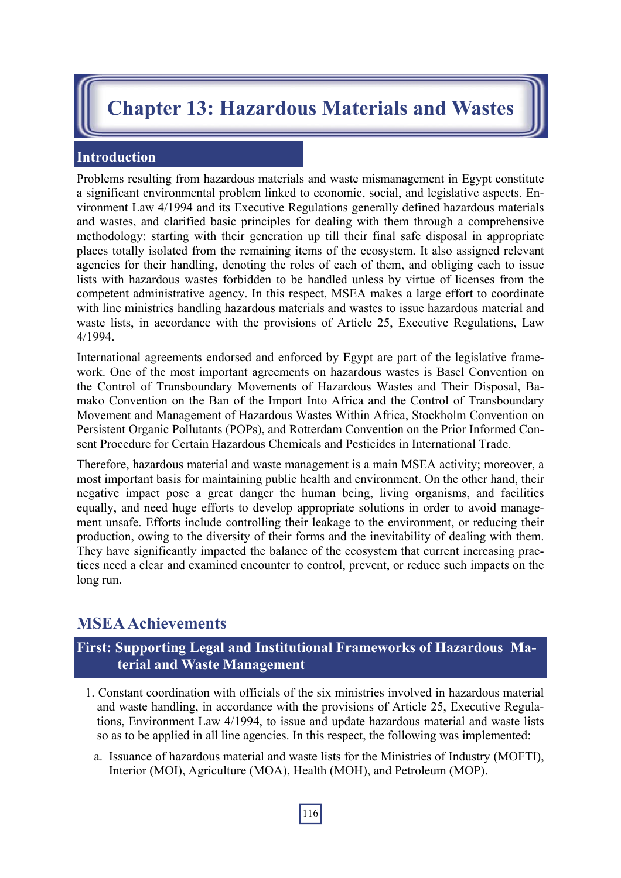# **Chapter 13: Hazardous Materials and Wastes**

#### **Introduction**

Problems resulting from hazardous materials and waste mismanagement in Egypt constitute a significant environmental problem linked to economic, social, and legislative aspects. Environment Law 4/1994 and its Executive Regulations generally defined hazardous materials and wastes, and clarified basic principles for dealing with them through a comprehensive methodology: starting with their generation up till their final safe disposal in appropriate places totally isolated from the remaining items of the ecosystem. It also assigned relevant agencies for their handling, denoting the roles of each of them, and obliging each to issue lists with hazardous wastes forbidden to be handled unless by virtue of licenses from the competent administrative agency. In this respect, MSEA makes a large effort to coordinate with line ministries handling hazardous materials and wastes to issue hazardous material and waste lists, in accordance with the provisions of Article 25, Executive Regulations, Law 4/1994.

International agreements endorsed and enforced by Egypt are part of the legislative framework. One of the most important agreements on hazardous wastes is Basel Convention on the Control of Transboundary Movements of Hazardous Wastes and Their Disposal, Bamako Convention on the Ban of the Import Into Africa and the Control of Transboundary Movement and Management of Hazardous Wastes Within Africa, Stockholm Convention on Persistent Organic Pollutants (POPs), and Rotterdam Convention on the Prior Informed Consent Procedure for Certain Hazardous Chemicals and Pesticides in International Trade.

Therefore, hazardous material and waste management is a main MSEA activity; moreover, a most important basis for maintaining public health and environment. On the other hand, their negative impact pose a great danger the human being, living organisms, and facilities equally, and need huge efforts to develop appropriate solutions in order to avoid management unsafe. Efforts include controlling their leakage to the environment, or reducing their production, owing to the diversity of their forms and the inevitability of dealing with them. They have significantly impacted the balance of the ecosystem that current increasing practices need a clear and examined encounter to control, prevent, or reduce such impacts on the long run.

## **MSEA Achievements**

## **First: Supporting Legal and Institutional Frameworks of Hazardous Material and Waste Management**

- 1. Constant coordination with officials of the six ministries involved in hazardous material and waste handling, in accordance with the provisions of Article 25, Executive Regulations, Environment Law 4/1994, to issue and update hazardous material and waste lists so as to be applied in all line agencies. In this respect, the following was implemented:
	- a. Issuance of hazardous material and waste lists for the Ministries of Industry (MOFTI), Interior (MOI), Agriculture (MOA), Health (MOH), and Petroleum (MOP).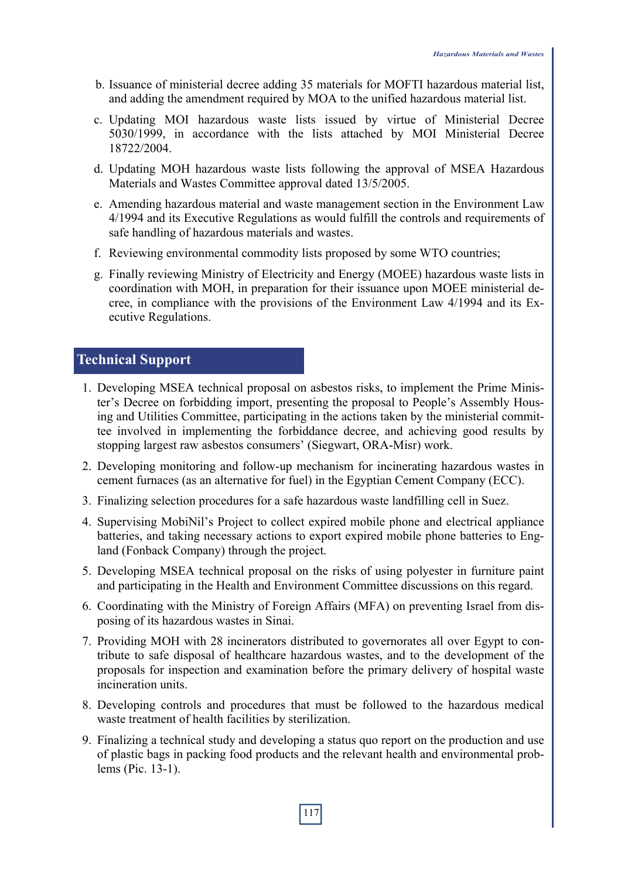- b. Issuance of ministerial decree adding 35 materials for MOFTI hazardous material list, and adding the amendment required by MOA to the unified hazardous material list.
- c. Updating MOI hazardous waste lists issued by virtue of Ministerial Decree 5030/1999, in accordance with the lists attached by MOI Ministerial Decree 18722/2004.
- d. Updating MOH hazardous waste lists following the approval of MSEA Hazardous Materials and Wastes Committee approval dated 13/5/2005.
- e. Amending hazardous material and waste management section in the Environment Law 4/1994 and its Executive Regulations as would fulfill the controls and requirements of safe handling of hazardous materials and wastes.
- f. Reviewing environmental commodity lists proposed by some WTO countries;
- g. Finally reviewing Ministry of Electricity and Energy (MOEE) hazardous waste lists in coordination with MOH, in preparation for their issuance upon MOEE ministerial decree, in compliance with the provisions of the Environment Law 4/1994 and its Executive Regulations.

## **Technical Support**

- 1. Developing MSEA technical proposal on asbestos risks, to implement the Prime Minister's Decree on forbidding import, presenting the proposal to People's Assembly Housing and Utilities Committee, participating in the actions taken by the ministerial committee involved in implementing the forbiddance decree, and achieving good results by stopping largest raw asbestos consumers' (Siegwart, ORA-Misr) work.
- 2. Developing monitoring and follow-up mechanism for incinerating hazardous wastes in cement furnaces (as an alternative for fuel) in the Egyptian Cement Company (ECC).
- 3. Finalizing selection procedures for a safe hazardous waste landfilling cell in Suez.
- 4. Supervising MobiNil's Project to collect expired mobile phone and electrical appliance batteries, and taking necessary actions to export expired mobile phone batteries to England (Fonback Company) through the project.
- 5. Developing MSEA technical proposal on the risks of using polyester in furniture paint and participating in the Health and Environment Committee discussions on this regard.
- 6. Coordinating with the Ministry of Foreign Affairs (MFA) on preventing Israel from disposing of its hazardous wastes in Sinai.
- 7. Providing MOH with 28 incinerators distributed to governorates all over Egypt to contribute to safe disposal of healthcare hazardous wastes, and to the development of the proposals for inspection and examination before the primary delivery of hospital waste incineration units.
- 8. Developing controls and procedures that must be followed to the hazardous medical waste treatment of health facilities by sterilization.
- 9. Finalizing a technical study and developing a status quo report on the production and use of plastic bags in packing food products and the relevant health and environmental problems (Pic. 13-1).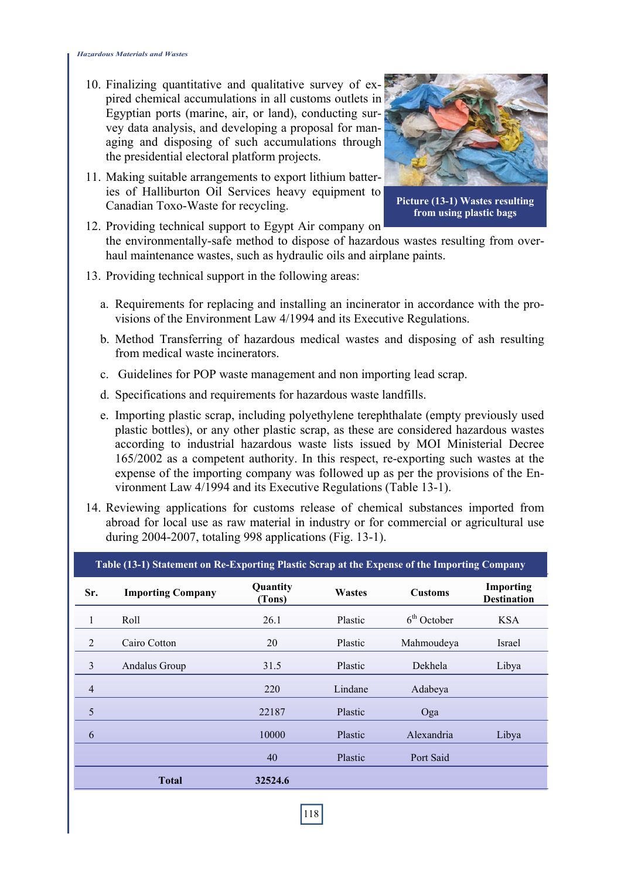- 10. Finalizing quantitative and qualitative survey of expired chemical accumulations in all customs outlets in Egyptian ports (marine, air, or land), conducting survey data analysis, and developing a proposal for managing and disposing of such accumulations through the presidential electoral platform projects.
- 11. Making suitable arrangements to export lithium batteries of Halliburton Oil Services heavy equipment to Canadian Toxo-Waste for recycling.



**Picture (13-1) Wastes resulting from using plastic bags**

12. Providing technical support to Egypt Air company on the environmentally-safe method to dispose of hazardous wastes resulting from overhaul maintenance wastes, such as hydraulic oils and airplane paints.

- 13. Providing technical support in the following areas:
	- a. Requirements for replacing and installing an incinerator in accordance with the provisions of the Environment Law 4/1994 and its Executive Regulations.
	- b. Method Transferring of hazardous medical wastes and disposing of ash resulting from medical waste incinerators.
	- c. Guidelines for POP waste management and non importing lead scrap.
	- d. Specifications and requirements for hazardous waste landfills.
	- e. Importing plastic scrap, including polyethylene terephthalate (empty previously used plastic bottles), or any other plastic scrap, as these are considered hazardous wastes according to industrial hazardous waste lists issued by MOI Ministerial Decree 165/2002 as a competent authority. In this respect, re-exporting such wastes at the expense of the importing company was followed up as per the provisions of the Environment Law 4/1994 and its Executive Regulations (Table 13-1).
- 14. Reviewing applications for customs release of chemical substances imported from abroad for local use as raw material in industry or for commercial or agricultural use during 2004-2007, totaling 998 applications (Fig. 13-1).

| Table (13-1) Statement on Re-Exporting Plastic Scrap at the Expense of the Importing Company |                          |                    |         |                |                                 |
|----------------------------------------------------------------------------------------------|--------------------------|--------------------|---------|----------------|---------------------------------|
| Sr.                                                                                          | <b>Importing Company</b> | Quantity<br>(Tons) | Wastes  | <b>Customs</b> | Importing<br><b>Destination</b> |
|                                                                                              | Roll                     | 26.1               | Plastic | $6th$ October  | <b>KSA</b>                      |
| 2                                                                                            | Cairo Cotton             | 20                 | Plastic | Mahmoudeya     | Israel                          |
| 3                                                                                            | Andalus Group            | 31.5               | Plastic | Dekhela        | Libya                           |
| $\overline{4}$                                                                               |                          | 220                | Lindane | Adabeya        |                                 |
| 5                                                                                            |                          | 22187              | Plastic | Oga            |                                 |
| 6                                                                                            |                          | 10000              | Plastic | Alexandria     | Libya                           |
|                                                                                              |                          | 40                 | Plastic | Port Said      |                                 |
|                                                                                              | <b>Total</b>             | 32524.6            |         |                |                                 |
|                                                                                              |                          |                    |         |                |                                 |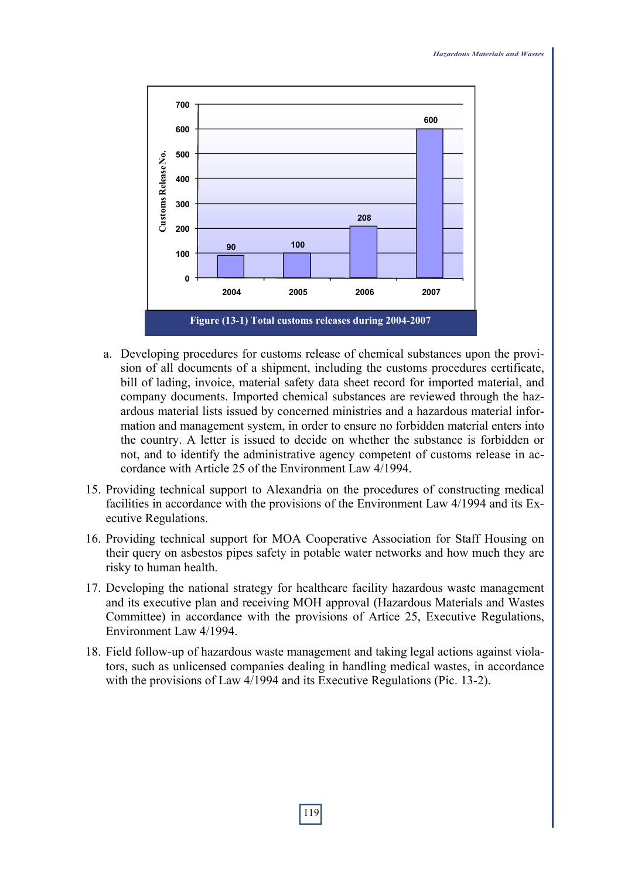

- a. Developing procedures for customs release of chemical substances upon the provision of all documents of a shipment, including the customs procedures certificate, bill of lading, invoice, material safety data sheet record for imported material, and company documents. Imported chemical substances are reviewed through the hazardous material lists issued by concerned ministries and a hazardous material information and management system, in order to ensure no forbidden material enters into the country. A letter is issued to decide on whether the substance is forbidden or not, and to identify the administrative agency competent of customs release in accordance with Article 25 of the Environment Law 4/1994.
- 15. Providing technical support to Alexandria on the procedures of constructing medical facilities in accordance with the provisions of the Environment Law 4/1994 and its Executive Regulations.
- 16. Providing technical support for MOA Cooperative Association for Staff Housing on their query on asbestos pipes safety in potable water networks and how much they are risky to human health.
- 17. Developing the national strategy for healthcare facility hazardous waste management and its executive plan and receiving MOH approval (Hazardous Materials and Wastes Committee) in accordance with the provisions of Artice 25, Executive Regulations, Environment Law 4/1994.
- 18. Field follow-up of hazardous waste management and taking legal actions against violators, such as unlicensed companies dealing in handling medical wastes, in accordance with the provisions of Law 4/1994 and its Executive Regulations (Pic. 13-2).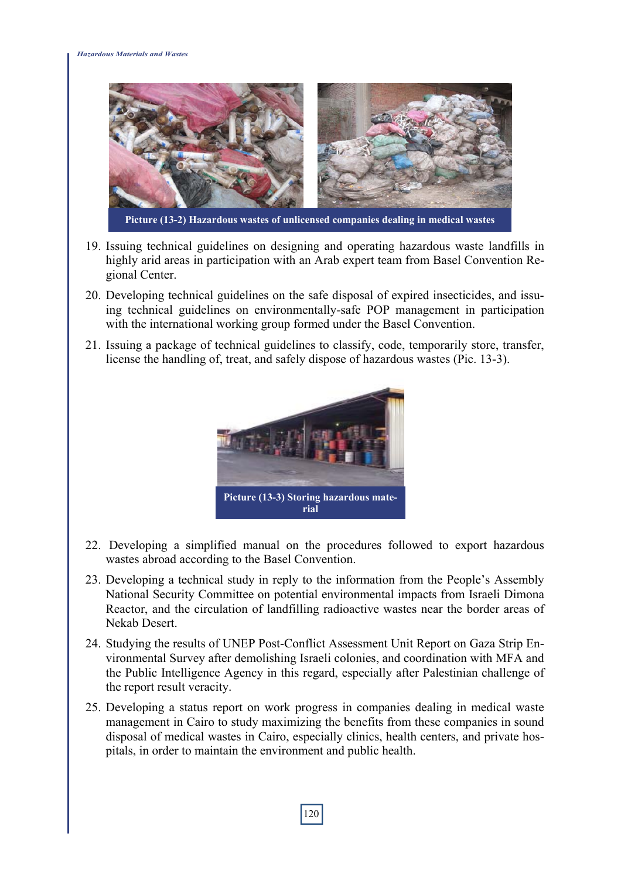

- 19. Issuing technical guidelines on designing and operating hazardous waste landfills in highly arid areas in participation with an Arab expert team from Basel Convention Regional Center.
- 20. Developing technical guidelines on the safe disposal of expired insecticides, and issuing technical guidelines on environmentally-safe POP management in participation with the international working group formed under the Basel Convention.
- 21. Issuing a package of technical guidelines to classify, code, temporarily store, transfer, license the handling of, treat, and safely dispose of hazardous wastes (Pic. 13-3).



- 22. Developing a simplified manual on the procedures followed to export hazardous wastes abroad according to the Basel Convention.
- 23. Developing a technical study in reply to the information from the People's Assembly National Security Committee on potential environmental impacts from Israeli Dimona Reactor, and the circulation of landfilling radioactive wastes near the border areas of Nekab Desert.
- 24. Studying the results of UNEP Post-Conflict Assessment Unit Report on Gaza Strip Environmental Survey after demolishing Israeli colonies, and coordination with MFA and the Public Intelligence Agency in this regard, especially after Palestinian challenge of the report result veracity.
- 25. Developing a status report on work progress in companies dealing in medical waste management in Cairo to study maximizing the benefits from these companies in sound disposal of medical wastes in Cairo, especially clinics, health centers, and private hospitals, in order to maintain the environment and public health.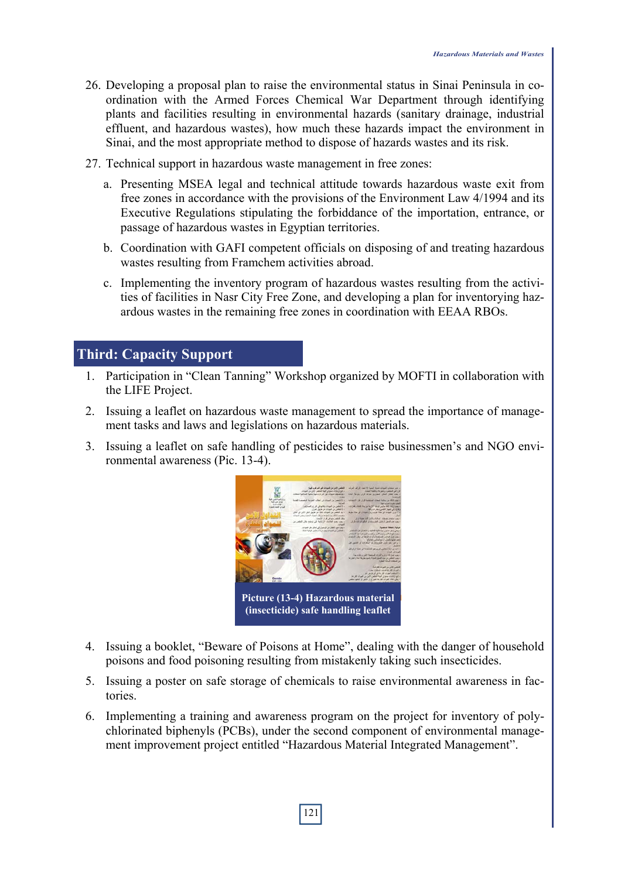- 26. Developing a proposal plan to raise the environmental status in Sinai Peninsula in coordination with the Armed Forces Chemical War Department through identifying plants and facilities resulting in environmental hazards (sanitary drainage, industrial effluent, and hazardous wastes), how much these hazards impact the environment in Sinai, and the most appropriate method to dispose of hazards wastes and its risk.
- 27. Technical support in hazardous waste management in free zones:
	- a. Presenting MSEA legal and technical attitude towards hazardous waste exit from free zones in accordance with the provisions of the Environment Law 4/1994 and its Executive Regulations stipulating the forbiddance of the importation, entrance, or passage of hazardous wastes in Egyptian territories.
	- b. Coordination with GAFI competent officials on disposing of and treating hazardous wastes resulting from Framchem activities abroad.
	- c. Implementing the inventory program of hazardous wastes resulting from the activities of facilities in Nasr City Free Zone, and developing a plan for inventorying hazardous wastes in the remaining free zones in coordination with EEAA RBOs.

#### **Third: Capacity Support**

- 1. Participation in "Clean Tanning" Workshop organized by MOFTI in collaboration with the LIFE Project.
- 2. Issuing a leaflet on hazardous waste management to spread the importance of management tasks and laws and legislations on hazardous materials.
- 3. Issuing a leaflet on safe handling of pesticides to raise businessmen's and NGO environmental awareness (Pic. 13-4).



- 4. Issuing a booklet, "Beware of Poisons at Home", dealing with the danger of household poisons and food poisoning resulting from mistakenly taking such insecticides.
- 5. Issuing a poster on safe storage of chemicals to raise environmental awareness in factories.
- 6. Implementing a training and awareness program on the project for inventory of polychlorinated biphenyls (PCBs), under the second component of environmental management improvement project entitled "Hazardous Material Integrated Management".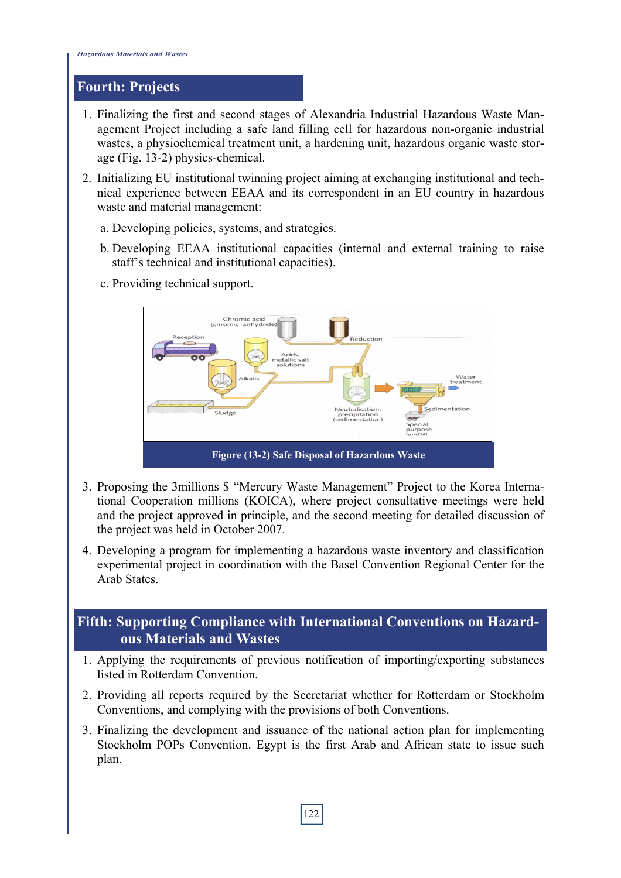#### **Fourth: Projects**

- 1. Finalizing the first and second stages of Alexandria Industrial Hazardous Waste Management Project including a safe land filling cell for hazardous non-organic industrial wastes, a physiochemical treatment unit, a hardening unit, hazardous organic waste storage (Fig. 13-2) physics-chemical.
- 2. Initializing EU institutional twinning project aiming at exchanging institutional and technical experience between EEAA and its correspondent in an EU country in hazardous waste and material management:
	- a. Developing policies, systems, and strategies.
	- b. Developing EEAA institutional capacities (internal and external training to raise staff's technical and institutional capacities).
		- Chromic acid<br>(chromic anhydride Reception Reduction Acids,<br>etallic salt  $-$ Water Alkalis vvater<br>treatment ,<br>Sedimentation utrali ati Sludge precipitation,<br>edimentation) **ာ**<br>Special<br>purpos **Figure (13-2) Safe Disposal of Hazardous Waste**
	- c. Providing technical support.

- 3. Proposing the 3millions \$ "Mercury Waste Management" Project to the Korea International Cooperation millions (KOICA), where project consultative meetings were held and the project approved in principle, and the second meeting for detailed discussion of the project was held in October 2007.
- 4. Developing a program for implementing a hazardous waste inventory and classification experimental project in coordination with the Basel Convention Regional Center for the Arab States.

### **Fifth: Supporting Compliance with International Conventions on Hazardous Materials and Wastes**

- 1. Applying the requirements of previous notification of importing/exporting substances listed in Rotterdam Convention.
- 2. Providing all reports required by the Secretariat whether for Rotterdam or Stockholm Conventions, and complying with the provisions of both Conventions.
- 3. Finalizing the development and issuance of the national action plan for implementing Stockholm POPs Convention. Egypt is the first Arab and African state to issue such plan.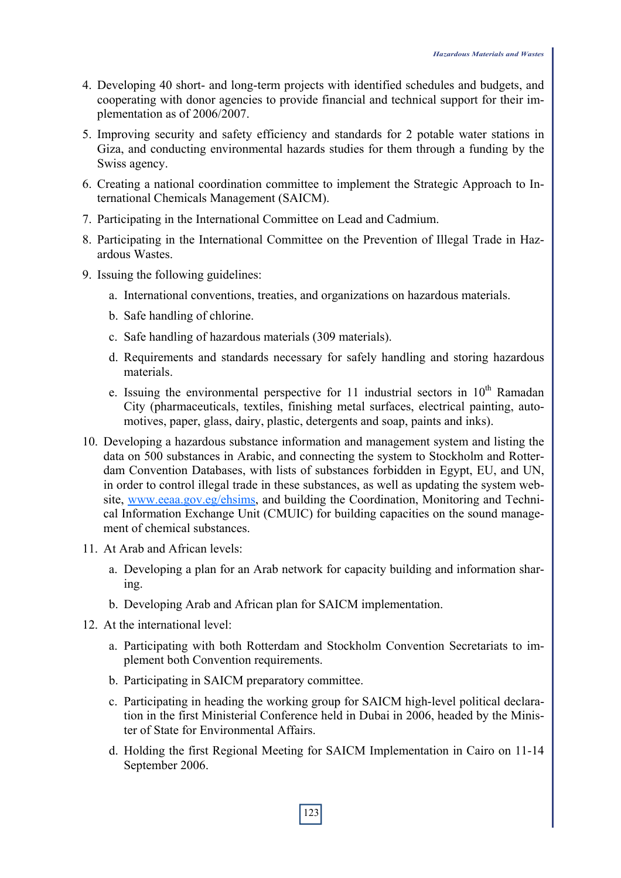- 4. Developing 40 short- and long-term projects with identified schedules and budgets, and cooperating with donor agencies to provide financial and technical support for their implementation as of 2006/2007.
- 5. Improving security and safety efficiency and standards for 2 potable water stations in Giza, and conducting environmental hazards studies for them through a funding by the Swiss agency.
- 6. Creating a national coordination committee to implement the Strategic Approach to International Chemicals Management (SAICM).
- 7. Participating in the International Committee on Lead and Cadmium.
- 8. Participating in the International Committee on the Prevention of Illegal Trade in Hazardous Wastes.
- 9. Issuing the following guidelines:
	- a. International conventions, treaties, and organizations on hazardous materials.
	- b. Safe handling of chlorine.
	- c. Safe handling of hazardous materials (309 materials).
	- d. Requirements and standards necessary for safely handling and storing hazardous materials.
	- e. Issuing the environmental perspective for 11 industrial sectors in  $10<sup>th</sup>$  Ramadan City (pharmaceuticals, textiles, finishing metal surfaces, electrical painting, automotives, paper, glass, dairy, plastic, detergents and soap, paints and inks).
- 10. Developing a hazardous substance information and management system and listing the data on 500 substances in Arabic, and connecting the system to Stockholm and Rotterdam Convention Databases, with lists of substances forbidden in Egypt, EU, and UN, in order to control illegal trade in these substances, as well as updating the system website, www.eeaa.gov.eg/ehsims, and building the Coordination, Monitoring and Technical Information Exchange Unit (CMUIC) for building capacities on the sound management of chemical substances.
- 11. At Arab and African levels:
	- a. Developing a plan for an Arab network for capacity building and information sharing.
	- b. Developing Arab and African plan for SAICM implementation.
- 12. At the international level:
	- a. Participating with both Rotterdam and Stockholm Convention Secretariats to implement both Convention requirements.
	- b. Participating in SAICM preparatory committee.
	- c. Participating in heading the working group for SAICM high-level political declaration in the first Ministerial Conference held in Dubai in 2006, headed by the Minister of State for Environmental Affairs.
	- d. Holding the first Regional Meeting for SAICM Implementation in Cairo on 11-14 September 2006.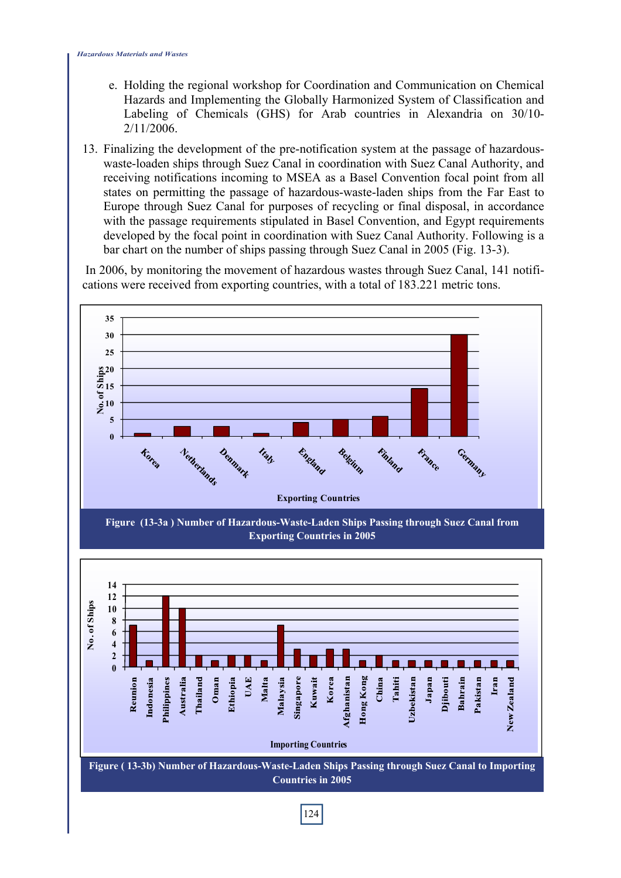- e. Holding the regional workshop for Coordination and Communication on Chemical Hazards and Implementing the Globally Harmonized System of Classification and Labeling of Chemicals (GHS) for Arab countries in Alexandria on 30/10- 2/11/2006.
- 13. Finalizing the development of the pre-notification system at the passage of hazardouswaste-loaden ships through Suez Canal in coordination with Suez Canal Authority, and receiving notifications incoming to MSEA as a Basel Convention focal point from all states on permitting the passage of hazardous-waste-laden ships from the Far East to Europe through Suez Canal for purposes of recycling or final disposal, in accordance with the passage requirements stipulated in Basel Convention, and Egypt requirements developed by the focal point in coordination with Suez Canal Authority. Following is a bar chart on the number of ships passing through Suez Canal in 2005 (Fig. 13-3).

 In 2006, by monitoring the movement of hazardous wastes through Suez Canal, 141 notifications were received from exporting countries, with a total of 183.221 metric tons.

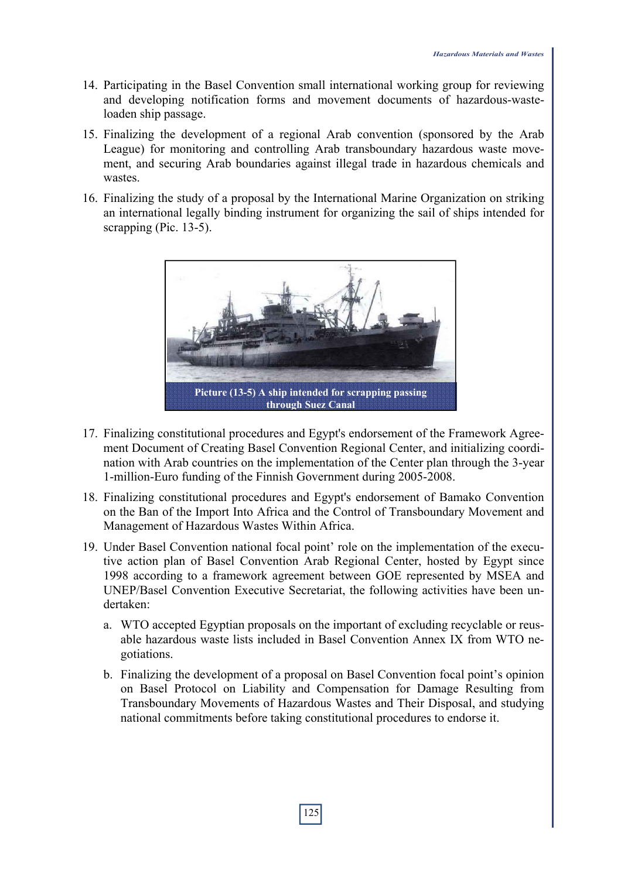- 14. Participating in the Basel Convention small international working group for reviewing and developing notification forms and movement documents of hazardous-wasteloaden ship passage.
- 15. Finalizing the development of a regional Arab convention (sponsored by the Arab League) for monitoring and controlling Arab transboundary hazardous waste movement, and securing Arab boundaries against illegal trade in hazardous chemicals and wastes.
- 16. Finalizing the study of a proposal by the International Marine Organization on striking an international legally binding instrument for organizing the sail of ships intended for scrapping (Pic. 13-5).



- 17. Finalizing constitutional procedures and Egypt's endorsement of the Framework Agreement Document of Creating Basel Convention Regional Center, and initializing coordination with Arab countries on the implementation of the Center plan through the 3-year 1-million-Euro funding of the Finnish Government during 2005-2008.
- 18. Finalizing constitutional procedures and Egypt's endorsement of Bamako Convention on the Ban of the Import Into Africa and the Control of Transboundary Movement and Management of Hazardous Wastes Within Africa.
- 19. Under Basel Convention national focal point' role on the implementation of the executive action plan of Basel Convention Arab Regional Center, hosted by Egypt since 1998 according to a framework agreement between GOE represented by MSEA and UNEP/Basel Convention Executive Secretariat, the following activities have been undertaken:
	- a. WTO accepted Egyptian proposals on the important of excluding recyclable or reusable hazardous waste lists included in Basel Convention Annex IX from WTO negotiations.
	- b. Finalizing the development of a proposal on Basel Convention focal point's opinion on Basel Protocol on Liability and Compensation for Damage Resulting from Transboundary Movements of Hazardous Wastes and Their Disposal, and studying national commitments before taking constitutional procedures to endorse it.